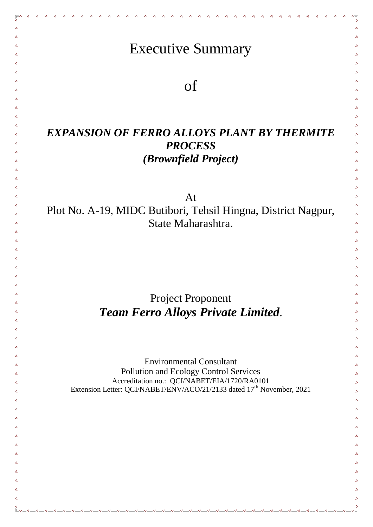# Executive Summary

of

## *EXPANSION OF FERRO ALLOYS PLANT BY THERMITE PROCESS (Brownfield Project)*

At Plot No. A-19, MIDC Butibori, Tehsil Hingna, District Nagpur, State Maharashtra.

## Project Proponent *Team Ferro Alloys Private Limited*.

Environmental Consultant Pollution and Ecology Control Services Accreditation no.: QCI/NABET/EIA/1720/RA0101 Extension Letter: QCI/NABET/ENV/ACO/21/2133 dated 17<sup>th</sup> November, 2021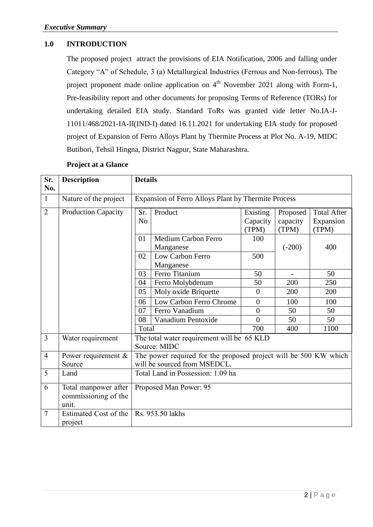## **1.0 INTRODUCTION**

The proposed project attract the provisions of EIA Notification, 2006 and falling under Category "A" of Schedule, 3 (a) Metallurgical Industries (Ferrous and Non-ferrous). The project proponent made online application on  $4<sup>th</sup>$  November 2021 along with Form-1, Pre-feasibility report and other documents for proposing Terms of Reference (TORs) for undertaking detailed EIA study. Standard ToRs was granted vide letter No.IA-J-11011/468/2021-IA-II(IND-I) dated 16.11.2021 for undertaking EIA study for proposed project of Expansion of Ferro Alloys Plant by Thermite Process at Plot No. A-19, MIDC Butibori, Tehsil Hingna, District Nagpur, State Maharashtra.

| Sr.<br>No.     | <b>Description</b>                                    | <b>Details</b>                                                   |                                         |                               |                               |                                          |
|----------------|-------------------------------------------------------|------------------------------------------------------------------|-----------------------------------------|-------------------------------|-------------------------------|------------------------------------------|
| $\mathbf{1}$   | Nature of the project                                 | Expansion of Ferro Alloys Plant by Thermite Process              |                                         |                               |                               |                                          |
| $\overline{2}$ | <b>Production Capacity</b>                            | Sr.<br>N <sub>o</sub>                                            | Product                                 | Existing<br>Capacity<br>(TPM) | Proposed<br>capacity<br>(TPM) | <b>Total After</b><br>Expansion<br>(TPM) |
|                |                                                       | 01                                                               | <b>Medium Carbon Ferro</b><br>Manganese | 100                           | $(-200)$                      | 400                                      |
|                |                                                       | 02                                                               | Low Carbon Ferro<br>Manganese           | 500                           |                               |                                          |
|                |                                                       | 03                                                               | Ferro Titanium                          | 50                            |                               | 50                                       |
|                |                                                       | 04                                                               | Ferro Molybdenum                        | 50                            | 200                           | 250                                      |
|                |                                                       | 05                                                               | Moly oxide Briquette                    | $\overline{0}$                | 200                           | 200                                      |
|                |                                                       | 06                                                               | Low Carbon Ferro Chrome                 | $\overline{0}$                | 100                           | 100                                      |
|                |                                                       | 07                                                               | Ferro Vanadium                          | $\overline{0}$                | 50                            | 50                                       |
|                |                                                       | 08                                                               | Vanadium Pentoxide                      | $\theta$                      | 50                            | 50                                       |
|                |                                                       | Total                                                            |                                         | 700                           | 400                           | 1100                                     |
| 3              | Water requirement                                     | The total water requirement will be 65 KLD<br>Source: MIDC       |                                         |                               |                               |                                          |
| $\overline{4}$ | Power requirement $\&$                                | The power required for the proposed project will be 500 KW which |                                         |                               |                               |                                          |
|                | Source                                                | will be sourced from MSEDCL.                                     |                                         |                               |                               |                                          |
| 5              | Land                                                  | Total Land in Possession: 1.09 ha                                |                                         |                               |                               |                                          |
| 6              | Total manpower after<br>commissioning of the<br>unit. | Proposed Man Power: 95                                           |                                         |                               |                               |                                          |
| $\overline{7}$ | Estimated Cost of the<br>project                      | Rs. 953.50 lakhs                                                 |                                         |                               |                               |                                          |

#### **Project at a Glance**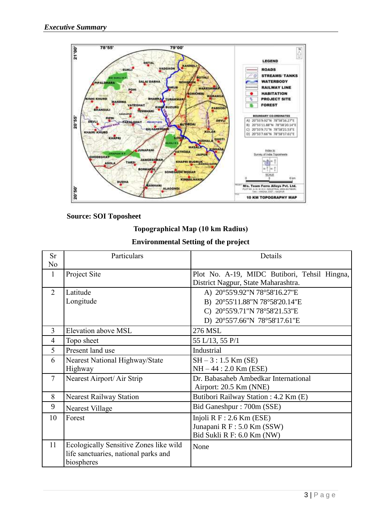

#### **Source: SOI Toposheet**

#### **Topographical Map (10 km Radius)**

## **Environmental Setting of the project**

| <b>Sr</b>      | Particulars                            | Details                                      |  |  |
|----------------|----------------------------------------|----------------------------------------------|--|--|
| N <sub>0</sub> |                                        |                                              |  |  |
| 1              | Project Site                           | Plot No. A-19, MIDC Butibori, Tehsil Hingna, |  |  |
|                |                                        | District Nagpur, State Maharashtra.          |  |  |
| 2              | Latitude                               | A) 20°55'9.92"N 78°58'16.27"E                |  |  |
|                | Longitude                              | B) 20°55'11.88"N 78°58'20.14"E               |  |  |
|                |                                        | C) 20°55'9.71"N 78°58'21.53"E                |  |  |
|                |                                        | D) 20°55'7.66"N 78°58'17.61"E                |  |  |
| 3              | Elevation above MSL                    | 276 MSL                                      |  |  |
| 4              | Topo sheet                             | 55 L/13, 55 P/1                              |  |  |
| 5              | Present land use                       | Industrial                                   |  |  |
| 6              | Nearest National Highway/State         | $SH - 3: 1.5$ Km (SE)                        |  |  |
|                | Highway                                | $NH - 44 : 2.0$ Km (ESE)                     |  |  |
| $\overline{7}$ | Nearest Airport/ Air Strip             | Dr. Babasaheb Ambedkar International         |  |  |
|                |                                        | Airport: 20.5 Km (NNE)                       |  |  |
| 8              | <b>Nearest Railway Station</b>         | Butibori Railway Station: 4.2 Km (E)         |  |  |
| 9              | <b>Nearest Village</b>                 | Bid Ganeshpur: 700m (SSE)                    |  |  |
| 10             | Forest                                 | Injoli $R F: 2.6$ Km (ESE)                   |  |  |
|                |                                        | Junapani R F: 5.0 Km (SSW)                   |  |  |
|                |                                        | Bid Sukli R F: 6.0 Km (NW)                   |  |  |
| 11             | Ecologically Sensitive Zones like wild | None                                         |  |  |
|                | life sanctuaries, national parks and   |                                              |  |  |
|                | biospheres                             |                                              |  |  |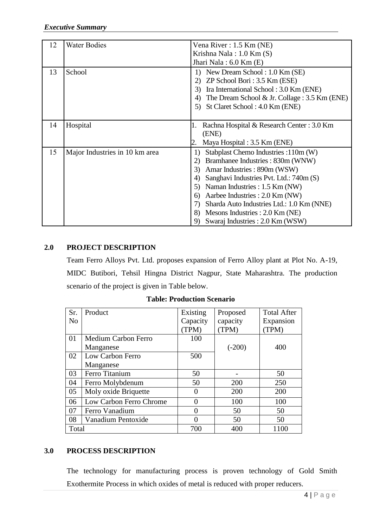| 12 | <b>Water Bodies</b>            | Vena River : 1.5 Km (NE)                              |
|----|--------------------------------|-------------------------------------------------------|
|    |                                | Krishna Nala: $1.0$ Km $(S)$                          |
|    |                                | Jhari Nala: $6.0$ Km $(E)$                            |
| 13 | School                         | New Dream School: 1.0 Km (SE)<br>1)                   |
|    |                                | $ZP$ School Bori: 3.5 Km (ESE)                        |
|    |                                | Ira International School: 3.0 Km (ENE)<br>3)          |
|    |                                | The Dream School & Jr. Collage : $3.5$ Km (ENE)<br>4) |
|    |                                | St Claret School: 4.0 Km (ENE)<br>5)                  |
|    |                                |                                                       |
| 14 | Hospital                       | Rachna Hospital & Research Center : 3.0 Km<br>1.      |
|    |                                | (ENE)                                                 |
|    |                                | Maya Hospital : 3.5 Km (ENE)                          |
| 15 | Major Industries in 10 km area | Stabplast Chemo Industries :110m (W)<br>1)            |
|    |                                | Bramhanee Industries: 830m (WNW)<br>2)                |
|    |                                | Amar Industries: 890m (WSW)<br>3)                     |
|    |                                | Sanghavi Industries Pvt. Ltd.: 740m (S)               |
|    |                                | Naman Industries : 1.5 Km (NW)<br>5)                  |
|    |                                | Aarbee Industries : 2.0 Km (NW)<br>6                  |
|    |                                | Sharda Auto Industries Ltd.: 1.0 Km (NNE)<br>7)       |
|    |                                | Mesons Industries : 2.0 Km (NE)<br>8)                 |
|    |                                | Swaraj Industries: 2.0 Km (WSW)<br>9)                 |

## **2.0 PROJECT DESCRIPTION**

Team Ferro Alloys Pvt. Ltd. proposes expansion of Ferro Alloy plant at Plot No. A-19, MIDC Butibori, Tehsil Hingna District Nagpur, State Maharashtra. The production scenario of the project is given in Table below.

|  | <b>Table: Production Scenario</b> |  |
|--|-----------------------------------|--|
|--|-----------------------------------|--|

| Sr.            | Product                 | Existing | Proposed | <b>Total After</b> |
|----------------|-------------------------|----------|----------|--------------------|
| N <sub>o</sub> |                         | Capacity | capacity | Expansion          |
|                |                         | TPM)     | (TPM)    | (TPM)              |
| 01             | Medium Carbon Ferro     | 100      |          |                    |
|                | Manganese               |          | $(-200)$ | 400                |
| 02             | Low Carbon Ferro        | 500      |          |                    |
|                | Manganese               |          |          |                    |
| 03             | Ferro Titanium          | 50       |          | 50                 |
| 04             | Ferro Molybdenum        | 50       | 200      | 250                |
| 05             | Moly oxide Briquette    | 0        | 200      | 200                |
| 06             | Low Carbon Ferro Chrome | 0        | 100      | 100                |
| 07             | Ferro Vanadium          |          | 50       | 50                 |
| 08             | Vanadium Pentoxide      |          | 50       | 50                 |
| Total          |                         | 700      | 400      | 1100               |

## **3.0 PROCESS DESCRIPTION**

The technology for manufacturing process is proven technology of Gold Smith Exothermite Process in which oxides of metal is reduced with proper reducers.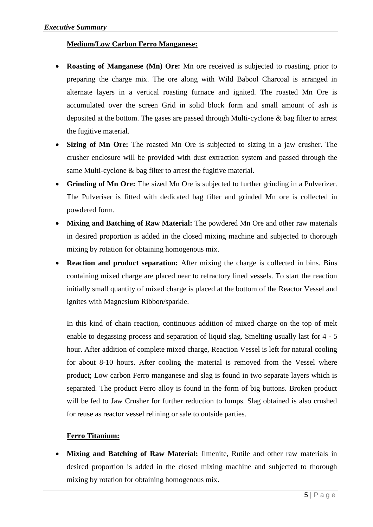## **Medium/Low Carbon Ferro Manganese:**

- **Roasting of Manganese (Mn) Ore:** Mn ore received is subjected to roasting, prior to preparing the charge mix. The ore along with Wild Babool Charcoal is arranged in alternate layers in a vertical roasting furnace and ignited. The roasted Mn Ore is accumulated over the screen Grid in solid block form and small amount of ash is deposited at the bottom. The gases are passed through Multi-cyclone & bag filter to arrest the fugitive material.
- **Sizing of Mn Ore:** The roasted Mn Ore is subjected to sizing in a jaw crusher. The crusher enclosure will be provided with dust extraction system and passed through the same Multi-cyclone & bag filter to arrest the fugitive material.
- **Grinding of Mn Ore:** The sized Mn Ore is subjected to further grinding in a Pulverizer. The Pulveriser is fitted with dedicated bag filter and grinded Mn ore is collected in powdered form.
- **Mixing and Batching of Raw Material:** The powdered Mn Ore and other raw materials in desired proportion is added in the closed mixing machine and subjected to thorough mixing by rotation for obtaining homogenous mix.
- **Reaction and product separation:** After mixing the charge is collected in bins. Bins containing mixed charge are placed near to refractory lined vessels. To start the reaction initially small quantity of mixed charge is placed at the bottom of the Reactor Vessel and ignites with Magnesium Ribbon/sparkle.

In this kind of chain reaction, continuous addition of mixed charge on the top of melt enable to degassing process and separation of liquid slag. Smelting usually last for 4 - 5 hour. After addition of complete mixed charge, Reaction Vessel is left for natural cooling for about 8-10 hours. After cooling the material is removed from the Vessel where product; Low carbon Ferro manganese and slag is found in two separate layers which is separated. The product Ferro alloy is found in the form of big buttons. Broken product will be fed to Jaw Crusher for further reduction to lumps. Slag obtained is also crushed for reuse as reactor vessel relining or sale to outside parties.

## **Ferro Titanium:**

 **Mixing and Batching of Raw Material:** Ilmenite, Rutile and other raw materials in desired proportion is added in the closed mixing machine and subjected to thorough mixing by rotation for obtaining homogenous mix.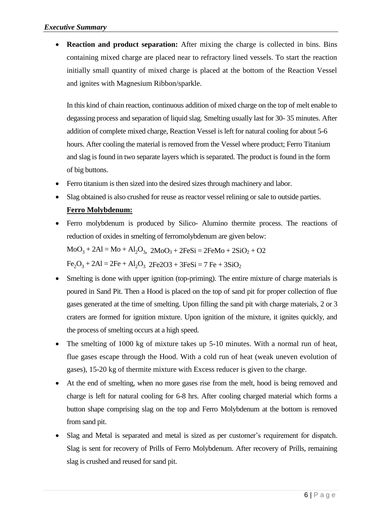**Reaction and product separation:** After mixing the charge is collected in bins. Bins containing mixed charge are placed near to refractory lined vessels. To start the reaction initially small quantity of mixed charge is placed at the bottom of the Reaction Vessel and ignites with Magnesium Ribbon/sparkle.

In this kind of chain reaction, continuous addition of mixed charge on the top of melt enable to degassing process and separation of liquid slag. Smelting usually last for 30- 35 minutes. After addition of complete mixed charge, Reaction Vessel is left for natural cooling for about 5-6 hours. After cooling the material is removed from the Vessel where product; Ferro Titanium and slag is found in two separate layers which is separated. The product is found in the form of big buttons.

- Ferro titanium is then sized into the desired sizes through machinery and labor.
- Slag obtained is also crushed for reuse as reactor vessel relining or sale to outside parties.

## **Ferro Molybdenum:**

 Ferro molybdenum is produced by Silico- Alumino thermite process. The reactions of reduction of oxides in smelting of ferromolybdenum are given below:

 $MoO<sub>3</sub> + 2Al = Mo + Al<sub>2</sub>O<sub>3</sub>, 2MoO<sub>3</sub> + 2FeSi = 2FeMo + 2SiO<sub>2</sub> + O2$ 

 $Fe<sub>2</sub>O<sub>3</sub> + 2Al = 2Fe + Al<sub>2</sub>O<sub>3</sub>$   $2Fe2O3 + 3FeSi = 7 Fe + 3SiO<sub>2</sub>$ 

- Smelting is done with upper ignition (top-priming). The entire mixture of charge materials is poured in Sand Pit. Then a Hood is placed on the top of sand pit for proper collection of flue gases generated at the time of smelting. Upon filling the sand pit with charge materials, 2 or 3 craters are formed for ignition mixture. Upon ignition of the mixture, it ignites quickly, and the process of smelting occurs at a high speed.
- The smelting of 1000 kg of mixture takes up 5-10 minutes. With a normal run of heat, flue gases escape through the Hood. With a cold run of heat (weak uneven evolution of gases), 15-20 kg of thermite mixture with Excess reducer is given to the charge.
- At the end of smelting, when no more gases rise from the melt, hood is being removed and charge is left for natural cooling for 6-8 hrs. After cooling charged material which forms a button shape comprising slag on the top and Ferro Molybdenum at the bottom is removed from sand pit.
- Slag and Metal is separated and metal is sized as per customer's requirement for dispatch. Slag is sent for recovery of Prills of Ferro Molybdenum. After recovery of Prills, remaining slag is crushed and reused for sand pit.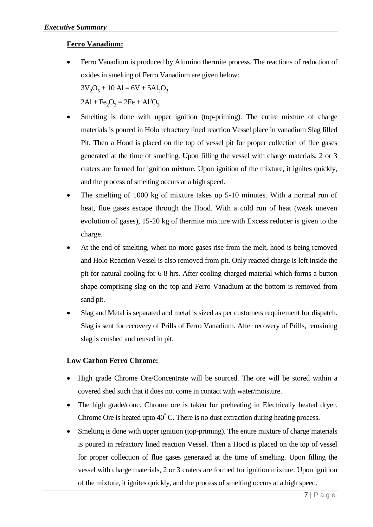## **Ferro Vanadium:**

 Ferro Vanadium is produced by Alumino thermite process. The reactions of reduction of oxides in smelting of Ferro Vanadium are given below:

 $3V_2O_5 + 10 Al = 6V + 5Al_2O_3$ 

 $2Al + Fe<sub>2</sub>O<sub>3</sub> = 2Fe + Al<sup>2</sup>O<sub>3</sub>$ 

- Smelting is done with upper ignition (top-priming). The entire mixture of charge materials is poured in Holo refractory lined reaction Vessel place in vanadium Slag filled Pit. Then a Hood is placed on the top of vessel pit for proper collection of flue gases generated at the time of smelting. Upon filling the vessel with charge materials, 2 or 3 craters are formed for ignition mixture. Upon ignition of the mixture, it ignites quickly, and the process of smelting occurs at a high speed.
- The smelting of 1000 kg of mixture takes up 5-10 minutes. With a normal run of heat, flue gases escape through the Hood. With a cold run of heat (weak uneven evolution of gases), 15-20 kg of thermite mixture with Excess reducer is given to the charge.
- At the end of smelting, when no more gases rise from the melt, hood is being removed and Holo Reaction Vessel is also removed from pit. Only reacted charge is left inside the pit for natural cooling for 6-8 hrs. After cooling charged material which forms a button shape comprising slag on the top and Ferro Vanadium at the bottom is removed from sand pit.
- Slag and Metal is separated and metal is sized as per customers requirement for dispatch. Slag is sent for recovery of Prills of Ferro Vanadium. After recovery of Prills, remaining slag is crushed and reused in pit.

#### **Low Carbon Ferro Chrome:**

- High grade Chrome Ore/Concentrate will be sourced. The ore will be stored within a covered shed such that it does not come in contact with water/moisture.
- The high grade/conc. Chrome ore is taken for preheating in Electrically heated dryer. Chrome Ore is heated upto 40° C. There is no dust extraction during heating process.
- Smelting is done with upper ignition (top-priming). The entire mixture of charge materials is poured in refractory lined reaction Vessel. Then a Hood is placed on the top of vessel for proper collection of flue gases generated at the time of smelting. Upon filling the vessel with charge materials, 2 or 3 craters are formed for ignition mixture. Upon ignition of the mixture, it ignites quickly, and the process of smelting occurs at a high speed.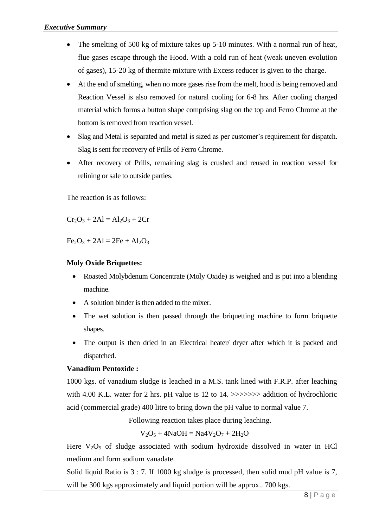- The smelting of 500 kg of mixture takes up 5-10 minutes. With a normal run of heat, flue gases escape through the Hood. With a cold run of heat (weak uneven evolution of gases), 15-20 kg of thermite mixture with Excess reducer is given to the charge.
- At the end of smelting, when no more gases rise from the melt, hood is being removed and Reaction Vessel is also removed for natural cooling for 6-8 hrs. After cooling charged material which forms a button shape comprising slag on the top and Ferro Chrome at the bottom is removed from reaction vessel.
- Slag and Metal is separated and metal is sized as per customer's requirement for dispatch. Slag is sent for recovery of Prills of Ferro Chrome.
- After recovery of Prills, remaining slag is crushed and reused in reaction vessel for relining or sale to outside parties.

The reaction is as follows:

 $Cr_2O_3 + 2Al = Al_2O_3 + 2Cr$ 

 $Fe<sub>2</sub>O<sub>3</sub> + 2Al = 2Fe + Al<sub>2</sub>O<sub>3</sub>$ 

## **Moly Oxide Briquettes:**

- Roasted Molybdenum Concentrate (Moly Oxide) is weighed and is put into a blending machine.
- A solution binder is then added to the mixer.
- The wet solution is then passed through the briquetting machine to form briquette shapes.
- The output is then dried in an Electrical heater/ dryer after which it is packed and dispatched.

## **Vanadium Pentoxide :**

1000 kgs. of vanadium sludge is leached in a M.S. tank lined with F.R.P. after leaching with 4.00 K.L. water for 2 hrs. pH value is 12 to 14. >>>>>>> addition of hydrochloric acid (commercial grade) 400 litre to bring down the pH value to normal value 7.

Following reaction takes place during leaching.

 $V_2O_5 + 4NaOH = Na4V_2O_7 + 2H_2O$ 

Here  $V_2O_5$  of sludge associated with sodium hydroxide dissolved in water in HCl medium and form sodium vanadate.

Solid liquid Ratio is 3 : 7. If 1000 kg sludge is processed, then solid mud pH value is 7, will be 300 kgs approximately and liquid portion will be approx.. 700 kgs.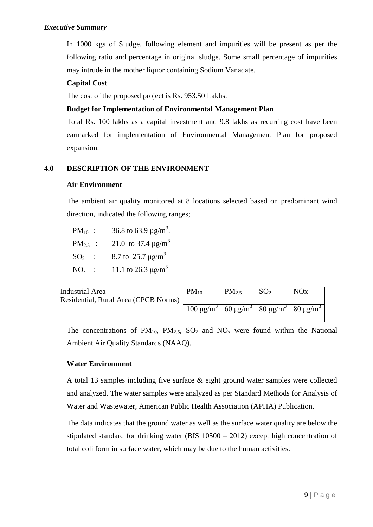In 1000 kgs of Sludge, following element and impurities will be present as per the following ratio and percentage in original sludge. Some small percentage of impurities may intrude in the mother liquor containing Sodium Vanadate.

## **Capital Cost**

The cost of the proposed project is Rs. 953.50 Lakhs.

## **Budget for Implementation of Environmental Management Plan**

Total Rs. 100 lakhs as a capital investment and 9.8 lakhs as recurring cost have been earmarked for implementation of Environmental Management Plan for proposed expansion.

## **4.0 DESCRIPTION OF THE ENVIRONMENT**

## **Air Environment**

The ambient air quality monitored at 8 locations selected based on predominant wind direction, indicated the following ranges;

PM<sub>10</sub> : 36.8 to 63.9  $\mu$ g/m<sup>3</sup>. PM<sub>2.5</sub> : 21.0 to 37.4  $\mu$ g/m<sup>3</sup>  $SO_2$  : 8.7 to 25.7  $\mu$ g/m<sup>3</sup> NO<sub>x</sub>: 11.1 to 26.3  $\mu$ g/m<sup>3</sup>

| Industrial Area                      | $PM_{10}$                                                                                  | $PM_2$ | <b>NO<sub>x</sub></b> |
|--------------------------------------|--------------------------------------------------------------------------------------------|--------|-----------------------|
| Residential, Rural Area (CPCB Norms) |                                                                                            |        |                       |
|                                      | 100 μg/m <sup>3</sup>   60 μg/m <sup>3</sup>   80 μg/m <sup>3</sup>   80 μg/m <sup>3</sup> |        |                       |
|                                      |                                                                                            |        |                       |

The concentrations of  $PM_{10}$ ,  $PM_{2.5}$ ,  $SO_2$  and  $NO_x$  were found within the National Ambient Air Quality Standards (NAAQ).

## **Water Environment**

A total 13 samples including five surface & eight ground water samples were collected and analyzed. The water samples were analyzed as per Standard Methods for Analysis of Water and Wastewater, American Public Health Association (APHA) Publication.

The data indicates that the ground water as well as the surface water quality are below the stipulated standard for drinking water (BIS 10500 – 2012) except high concentration of total coli form in surface water, which may be due to the human activities.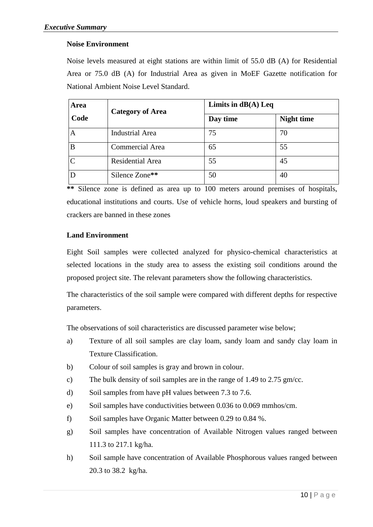#### **Noise Environment**

Noise levels measured at eight stations are within limit of 55.0 dB (A) for Residential Area or 75.0 dB (A) for Industrial Area as given in MoEF Gazette notification for National Ambient Noise Level Standard.

| Area | <b>Category of Area</b> | Limits in $dB(A)$ Leq |                   |  |
|------|-------------------------|-----------------------|-------------------|--|
| Code |                         | Day time              | <b>Night time</b> |  |
| A    | <b>Industrial Area</b>  | 75                    | 70                |  |
| B    | <b>Commercial Area</b>  | 65                    | 55                |  |
|      | Residential Area        | 55                    | 45                |  |
|      | Silence Zone**          | 50                    | 40                |  |

**\*\*** Silence zone is defined as area up to 100 meters around premises of hospitals, educational institutions and courts. Use of vehicle horns, loud speakers and bursting of crackers are banned in these zones

#### **Land Environment**

Eight Soil samples were collected analyzed for physico-chemical characteristics at selected locations in the study area to assess the existing soil conditions around the proposed project site. The relevant parameters show the following characteristics.

The characteristics of the soil sample were compared with different depths for respective parameters.

The observations of soil characteristics are discussed parameter wise below;

- a) Texture of all soil samples are clay loam, sandy loam and sandy clay loam in Texture Classification.
- b) Colour of soil samples is gray and brown in colour.
- c) The bulk density of soil samples are in the range of 1.49 to 2.75 gm/cc.
- d) Soil samples from have pH values between 7.3 to 7.6.
- e) Soil samples have conductivities between 0.036 to 0.069 mmhos/cm.
- f) Soil samples have Organic Matter between 0.29 to 0.84 %.
- g) Soil samples have concentration of Available Nitrogen values ranged between 111.3 to 217.1 kg/ha.
- h) Soil sample have concentration of Available Phosphorous values ranged between 20.3 to 38.2 kg/ha.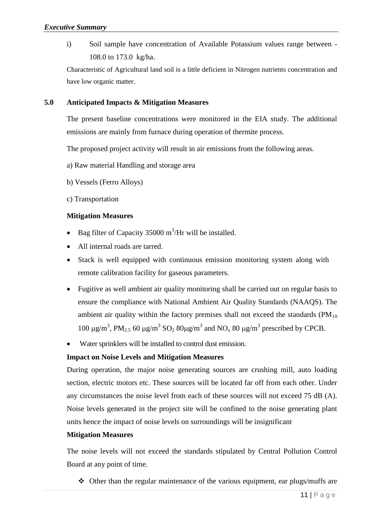i) Soil sample have concentration of Available Potassium values range between - 108.0 to 173.0 kg/ha.

Characteristic of Agricultural land soil is a little deficient in Nitrogen nutrients concentration and have low organic matter.

#### **5.0 Anticipated Impacts & Mitigation Measures**

The present baseline concentrations were monitored in the EIA study. The additional emissions are mainly from furnace during operation of thermite process.

The proposed project activity will result in air emissions from the following areas.

- a) Raw material Handling and storage area
- b) Vessels (Ferro Alloys)
- c) Transportation

#### **Mitigation Measures**

- Bag filter of Capacity 35000  $\text{m}^3/\text{Hr}$  will be installed.
- All internal roads are tarred.
- Stack is well equipped with continuous emission monitoring system along with remote calibration facility for gaseous parameters.
- Fugitive as well ambient air quality monitoring shall be carried out on regular basis to ensure the compliance with National Ambient Air Quality Standards (NAAQS). The ambient air quality within the factory premises shall not exceed the standards  $(PM_{10})$ 100  $\mu$ g/m<sup>3</sup>, PM<sub>2.5</sub> 60  $\mu$ g/m<sup>3</sup> SO<sub>2</sub> 80 $\mu$ g/m<sup>3</sup> and NO<sub>x</sub> 80  $\mu$ g/m<sup>3</sup> prescribed by CPCB.
- Water sprinklers will be installed to control dust emission.

#### **Impact on Noise Levels and Mitigation Measures**

During operation, the major noise generating sources are crushing mill, auto loading section, electric motors etc. These sources will be located far off from each other. Under any circumstances the noise level from each of these sources will not exceed 75 dB (A). Noise levels generated in the project site will be confined to the noise generating plant units hence the impact of noise levels on surroundings will be insignificant

#### **Mitigation Measures**

The noise levels will not exceed the standards stipulated by Central Pollution Control Board at any point of time.

 $\triangleleft$  Other than the regular maintenance of the various equipment, ear plugs/muffs are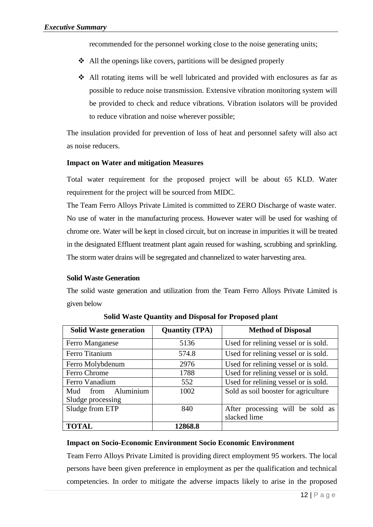recommended for the personnel working close to the noise generating units;

- $\triangleleft$  All the openings like covers, partitions will be designed properly
- All rotating items will be well lubricated and provided with enclosures as far as possible to reduce noise transmission. Extensive vibration monitoring system will be provided to check and reduce vibrations. Vibration isolators will be provided to reduce vibration and noise wherever possible;

The insulation provided for prevention of loss of heat and personnel safety will also act as noise reducers.

#### **Impact on Water and mitigation Measures**

Total water requirement for the proposed project will be about 65 KLD. Water requirement for the project will be sourced from MIDC.

The Team Ferro Alloys Private Limited is committed to ZERO Discharge of waste water. No use of water in the manufacturing process. However water will be used for washing of chrome ore. Water will be kept in closed circuit, but on increase in impurities it will be treated in the designated Effluent treatment plant again reused for washing, scrubbing and sprinkling. The storm water drains will be segregated and channelized to water harvesting area.

#### **Solid Waste Generation**

The solid waste generation and utilization from the Team Ferro Alloys Private Limited is given below

| <b>Solid Waste generation</b> | <b>Quantity (TPA)</b> | <b>Method of Disposal</b>            |  |
|-------------------------------|-----------------------|--------------------------------------|--|
| Ferro Manganese               | 5136                  | Used for relining vessel or is sold. |  |
| Ferro Titanium                | 574.8                 | Used for relining vessel or is sold. |  |
| Ferro Molybdenum              | 2976                  | Used for relining vessel or is sold. |  |
| Ferro Chrome                  | 1788                  | Used for relining vessel or is sold. |  |
| Ferro Vanadium                | 552                   | Used for relining vessel or is sold. |  |
| Aluminium<br>Mud<br>from      | 1002                  | Sold as soil booster for agriculture |  |
| Sludge processing             |                       |                                      |  |
| Sludge from ETP               | 840                   | After processing will be sold as     |  |
|                               |                       | slacked lime                         |  |
| <b>TOTAL</b>                  | 12868.8               |                                      |  |

**Solid Waste Quantity and Disposal for Proposed plant**

#### **Impact on Socio-Economic Environment Socio Economic Environment**

Team Ferro Alloys Private Limited is providing direct employment 95 workers. The local persons have been given preference in employment as per the qualification and technical competencies. In order to mitigate the adverse impacts likely to arise in the proposed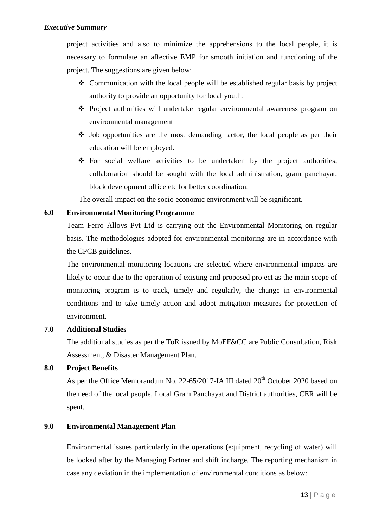project activities and also to minimize the apprehensions to the local people, it is necessary to formulate an affective EMP for smooth initiation and functioning of the project. The suggestions are given below:

- $\triangleleft$  Communication with the local people will be established regular basis by project authority to provide an opportunity for local youth.
- Project authorities will undertake regular environmental awareness program on environmental management
- $\triangle$  Job opportunities are the most demanding factor, the local people as per their education will be employed.
- For social welfare activities to be undertaken by the project authorities, collaboration should be sought with the local administration, gram panchayat, block development office etc for better coordination.

The overall impact on the socio economic environment will be significant.

## **6.0 Environmental Monitoring Programme**

Team Ferro Alloys Pvt Ltd is carrying out the Environmental Monitoring on regular basis. The methodologies adopted for environmental monitoring are in accordance with the CPCB guidelines.

The environmental monitoring locations are selected where environmental impacts are likely to occur due to the operation of existing and proposed project as the main scope of monitoring program is to track, timely and regularly, the change in environmental conditions and to take timely action and adopt mitigation measures for protection of environment.

#### **7.0 Additional Studies**

The additional studies as per the ToR issued by MoEF&CC are Public Consultation, Risk Assessment, & Disaster Management Plan.

#### **8.0 Project Benefits**

As per the Office Memorandum No. 22-65/2017-IA.III dated 20<sup>th</sup> October 2020 based on the need of the local people, Local Gram Panchayat and District authorities, CER will be spent.

## **9.0 Environmental Management Plan**

Environmental issues particularly in the operations (equipment, recycling of water) will be looked after by the Managing Partner and shift incharge. The reporting mechanism in case any deviation in the implementation of environmental conditions as below: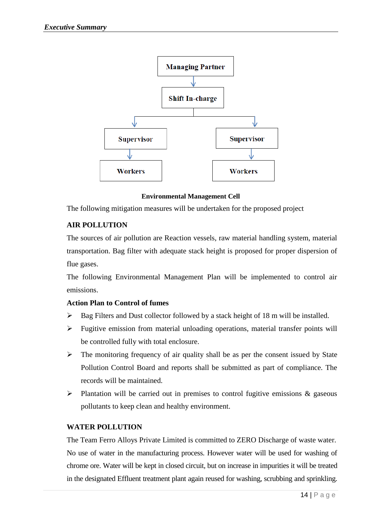

**Environmental Management Cell**

The following mitigation measures will be undertaken for the proposed project

#### **AIR POLLUTION**

The sources of air pollution are Reaction vessels, raw material handling system, material transportation. Bag filter with adequate stack height is proposed for proper dispersion of flue gases.

The following Environmental Management Plan will be implemented to control air emissions.

#### **Action Plan to Control of fumes**

- $\triangleright$  Bag Filters and Dust collector followed by a stack height of 18 m will be installed.
- $\triangleright$  Fugitive emission from material unloading operations, material transfer points will be controlled fully with total enclosure.
- $\triangleright$  The monitoring frequency of air quality shall be as per the consent issued by State Pollution Control Board and reports shall be submitted as part of compliance. The records will be maintained.
- $\triangleright$  Plantation will be carried out in premises to control fugitive emissions & gaseous pollutants to keep clean and healthy environment.

#### **WATER POLLUTION**

The Team Ferro Alloys Private Limited is committed to ZERO Discharge of waste water. No use of water in the manufacturing process. However water will be used for washing of chrome ore. Water will be kept in closed circuit, but on increase in impurities it will be treated in the designated Effluent treatment plant again reused for washing, scrubbing and sprinkling.